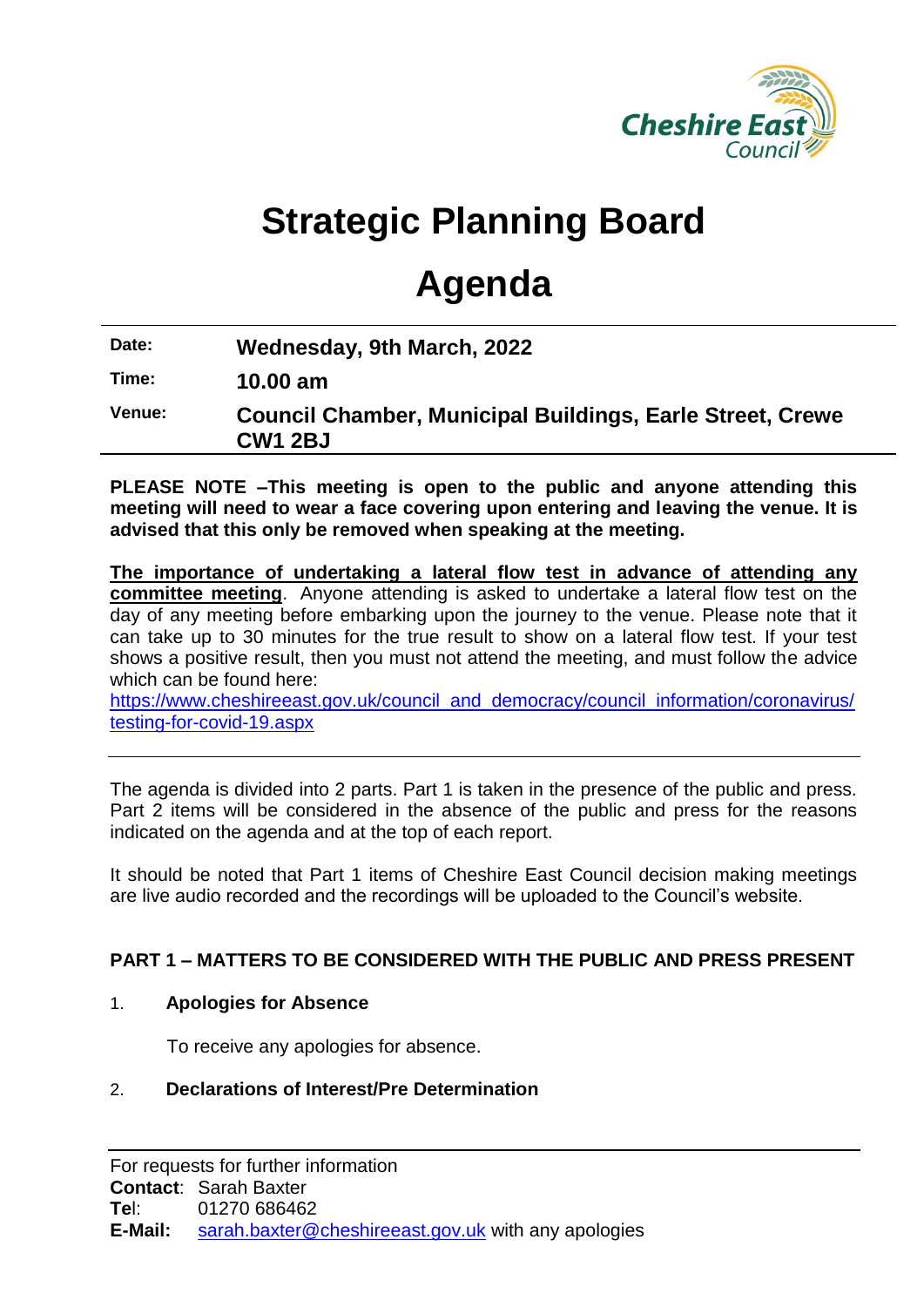

# **Strategic Planning Board**

# **Agenda**

**Date: Wednesday, 9th March, 2022**

**Time: 10.00 am**

**Venue: Council Chamber, Municipal Buildings, Earle Street, Crewe CW1 2BJ**

**PLEASE NOTE –This meeting is open to the public and anyone attending this meeting will need to wear a face covering upon entering and leaving the venue. It is advised that this only be removed when speaking at the meeting.**

**The importance of undertaking a lateral flow test in advance of attending any committee meeting**. Anyone attending is asked to undertake a lateral flow test on the day of any meeting before embarking upon the journey to the venue. Please note that it can take up to 30 minutes for the true result to show on a lateral flow test. If your test shows a positive result, then you must not attend the meeting, and must follow the advice which can be found here:

[https://www.cheshireeast.gov.uk/council\\_and\\_democracy/council\\_information/coronavirus/](https://www.cheshireeast.gov.uk/council_and_democracy/council_information/coronavirus/testing-for-covid-19.aspx) [testing-for-covid-19.aspx](https://www.cheshireeast.gov.uk/council_and_democracy/council_information/coronavirus/testing-for-covid-19.aspx)

The agenda is divided into 2 parts. Part 1 is taken in the presence of the public and press. Part 2 items will be considered in the absence of the public and press for the reasons indicated on the agenda and at the top of each report.

It should be noted that Part 1 items of Cheshire East Council decision making meetings are live audio recorded and the recordings will be uploaded to the Council's website.

## **PART 1 – MATTERS TO BE CONSIDERED WITH THE PUBLIC AND PRESS PRESENT**

## 1. **Apologies for Absence**

To receive any apologies for absence.

## 2. **Declarations of Interest/Pre Determination**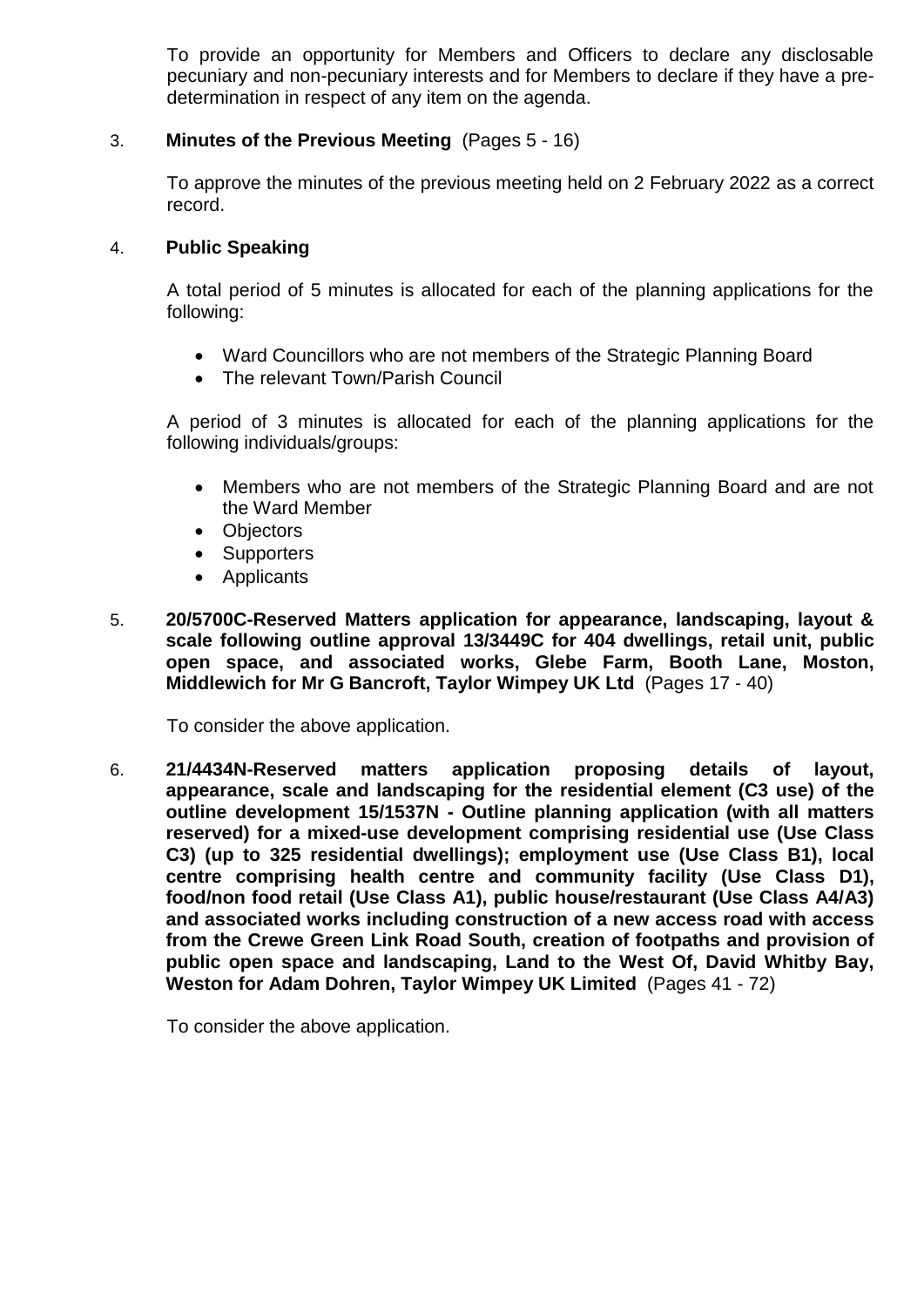To provide an opportunity for Members and Officers to declare any disclosable pecuniary and non-pecuniary interests and for Members to declare if they have a predetermination in respect of any item on the agenda.

#### 3. **Minutes of the Previous Meeting** (Pages 5 - 16)

To approve the minutes of the previous meeting held on 2 February 2022 as a correct record.

#### 4. **Public Speaking**

A total period of 5 minutes is allocated for each of the planning applications for the following:

- Ward Councillors who are not members of the Strategic Planning Board
- The relevant Town/Parish Council

A period of 3 minutes is allocated for each of the planning applications for the following individuals/groups:

- Members who are not members of the Strategic Planning Board and are not the Ward Member
- Objectors
- Supporters
- Applicants
- 5. **20/5700C-Reserved Matters application for appearance, landscaping, layout & scale following outline approval 13/3449C for 404 dwellings, retail unit, public open space, and associated works, Glebe Farm, Booth Lane, Moston, Middlewich for Mr G Bancroft, Taylor Wimpey UK Ltd** (Pages 17 - 40)

To consider the above application.

6. **21/4434N-Reserved matters application proposing details of layout, appearance, scale and landscaping for the residential element (C3 use) of the outline development 15/1537N - Outline planning application (with all matters reserved) for a mixed-use development comprising residential use (Use Class C3) (up to 325 residential dwellings); employment use (Use Class B1), local centre comprising health centre and community facility (Use Class D1), food/non food retail (Use Class A1), public house/restaurant (Use Class A4/A3) and associated works including construction of a new access road with access from the Crewe Green Link Road South, creation of footpaths and provision of public open space and landscaping, Land to the West Of, David Whitby Bay, Weston for Adam Dohren, Taylor Wimpey UK Limited** (Pages 41 - 72)

To consider the above application.